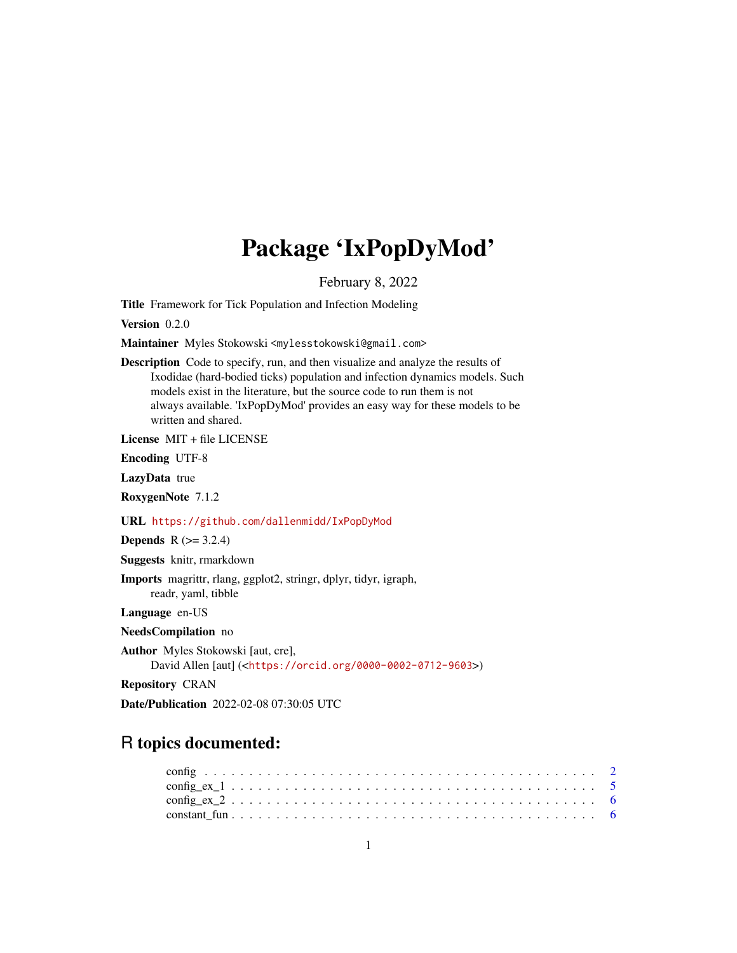# Package 'IxPopDyMod'

February 8, 2022

<span id="page-0-0"></span>Title Framework for Tick Population and Infection Modeling

Version 0.2.0

Maintainer Myles Stokowski <mylesstokowski@gmail.com>

Description Code to specify, run, and then visualize and analyze the results of Ixodidae (hard-bodied ticks) population and infection dynamics models. Such models exist in the literature, but the source code to run them is not always available. 'IxPopDyMod' provides an easy way for these models to be written and shared.

License MIT + file LICENSE

Encoding UTF-8

LazyData true

RoxygenNote 7.1.2

URL <https://github.com/dallenmidd/IxPopDyMod>

**Depends** R  $(>= 3.2.4)$ 

Suggests knitr, rmarkdown

Imports magrittr, rlang, ggplot2, stringr, dplyr, tidyr, igraph, readr, yaml, tibble

Language en-US

- NeedsCompilation no
- Author Myles Stokowski [aut, cre],

David Allen [aut] (<<https://orcid.org/0000-0002-0712-9603>>)

Repository CRAN

Date/Publication 2022-02-08 07:30:05 UTC

# R topics documented: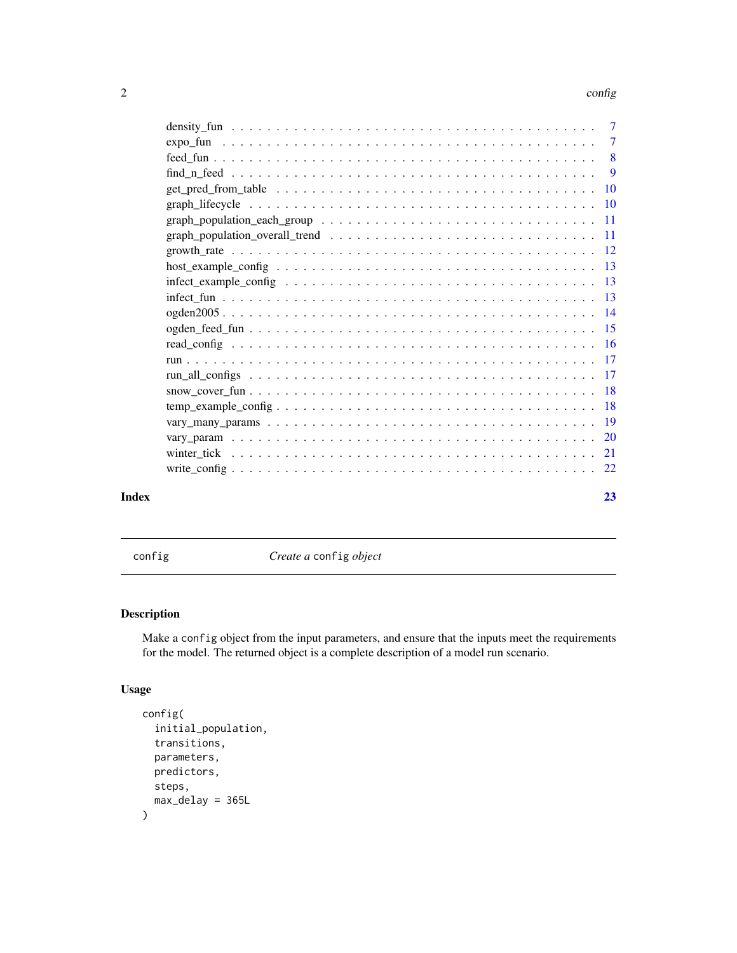#### <span id="page-1-0"></span> $2 \cos \theta$  configuration  $\cos \theta$  configuration  $\cos \theta$

|       | $find_nneed 9$                                                                                                                 |    |
|-------|--------------------------------------------------------------------------------------------------------------------------------|----|
|       |                                                                                                                                |    |
|       |                                                                                                                                |    |
|       |                                                                                                                                |    |
|       | graph_population_overall_trend $\ldots \ldots \ldots \ldots \ldots \ldots \ldots \ldots \ldots \ldots \ldots \ldots \ldots 11$ |    |
|       |                                                                                                                                |    |
|       |                                                                                                                                |    |
|       |                                                                                                                                |    |
|       |                                                                                                                                |    |
|       |                                                                                                                                |    |
|       |                                                                                                                                |    |
|       |                                                                                                                                |    |
|       |                                                                                                                                |    |
|       |                                                                                                                                |    |
|       |                                                                                                                                |    |
|       | $temp\_example\_config \ldots \ldots \ldots \ldots \ldots \ldots \ldots \ldots \ldots \ldots \ldots \ldots 18$                 |    |
|       |                                                                                                                                |    |
|       |                                                                                                                                |    |
|       |                                                                                                                                |    |
|       |                                                                                                                                |    |
| Index |                                                                                                                                | 23 |

<span id="page-1-1"></span>config *Create a* config *object*

# Description

Make a config object from the input parameters, and ensure that the inputs meet the requirements for the model. The returned object is a complete description of a model run scenario.

# Usage

```
config(
  initial_population,
  transitions,
 parameters,
 predictors,
 steps,
 max_delay = 365L
)
```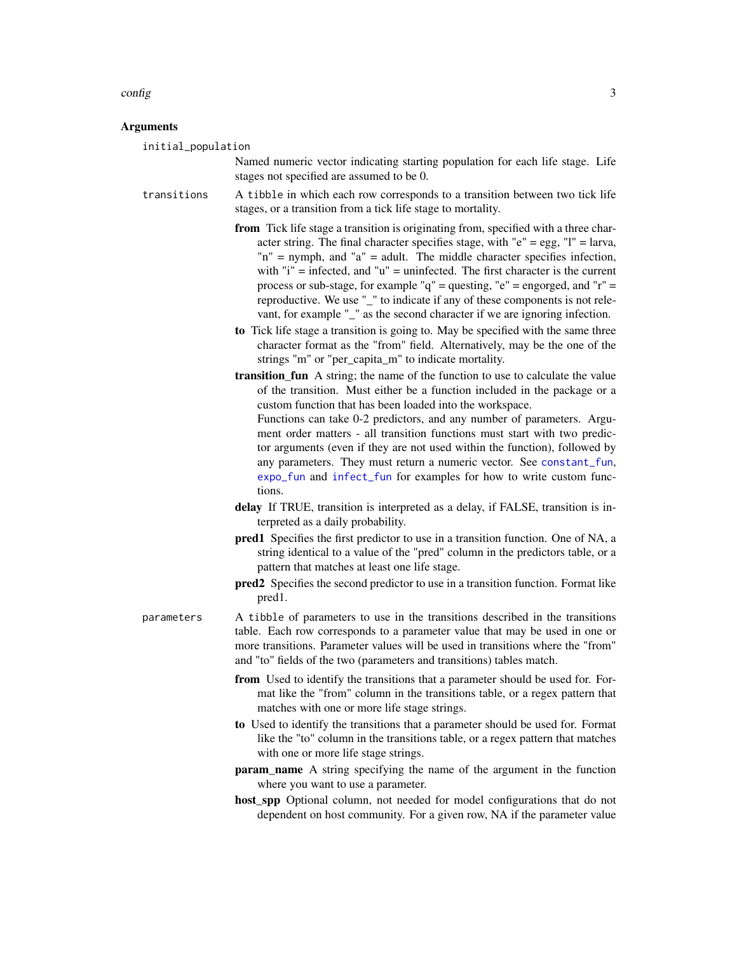#### <span id="page-2-0"></span>config 3

#### Arguments

initial\_population

Named numeric vector indicating starting population for each life stage. Life stages not specified are assumed to be 0.

- transitions A tibble in which each row corresponds to a transition between two tick life stages, or a transition from a tick life stage to mortality.
	- from Tick life stage a transition is originating from, specified with a three character string. The final character specifies stage, with " $e$ " = egg, "l" = larva, "n" = nymph, and "a" = adult. The middle character specifies infection, with " $i$ " = infected, and " $u$ " = uninfected. The first character is the current process or sub-stage, for example " $q$ " = questing, " $e$ " = engorged, and " $r$ " = reproductive. We use "\_" to indicate if any of these components is not relevant, for example "\_" as the second character if we are ignoring infection.
	- to Tick life stage a transition is going to. May be specified with the same three character format as the "from" field. Alternatively, may be the one of the strings "m" or "per\_capita\_m" to indicate mortality.
	- transition\_fun A string; the name of the function to use to calculate the value of the transition. Must either be a function included in the package or a custom function that has been loaded into the workspace. Functions can take 0-2 predictors, and any number of parameters. Argu-

ment order matters - all transition functions must start with two predictor arguments (even if they are not used within the function), followed by any parameters. They must return a numeric vector. See [constant\\_fun](#page-5-1), [expo\\_fun](#page-6-1) and [infect\\_fun](#page-12-1) for examples for how to write custom functions.

- delay If TRUE, transition is interpreted as a delay, if FALSE, transition is interpreted as a daily probability.
- pred1 Specifies the first predictor to use in a transition function. One of NA, a string identical to a value of the "pred" column in the predictors table, or a pattern that matches at least one life stage.
- pred2 Specifies the second predictor to use in a transition function. Format like pred1.

parameters A tibble of parameters to use in the transitions described in the transitions table. Each row corresponds to a parameter value that may be used in one or more transitions. Parameter values will be used in transitions where the "from" and "to" fields of the two (parameters and transitions) tables match.

- from Used to identify the transitions that a parameter should be used for. Format like the "from" column in the transitions table, or a regex pattern that matches with one or more life stage strings.
- to Used to identify the transitions that a parameter should be used for. Format like the "to" column in the transitions table, or a regex pattern that matches with one or more life stage strings.
- **param** name A string specifying the name of the argument in the function where you want to use a parameter.
- host spp Optional column, not needed for model configurations that do not dependent on host community. For a given row, NA if the parameter value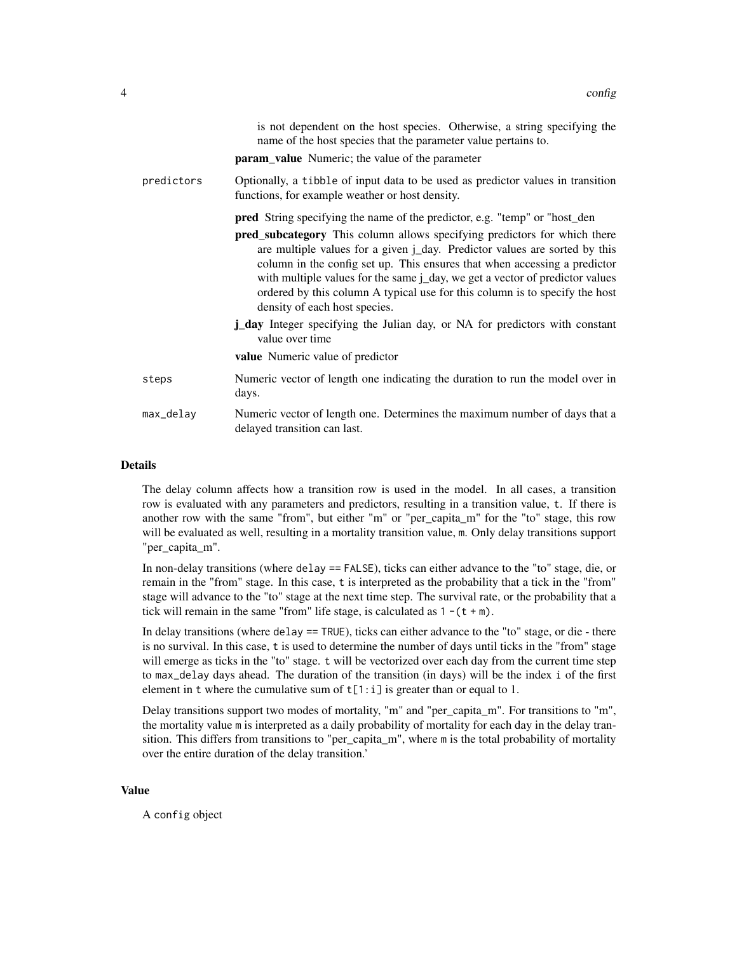|            | is not dependent on the host species. Otherwise, a string specifying the<br>name of the host species that the parameter value pertains to.<br><b>param_value</b> Numeric; the value of the parameter                                                                                                                                                                                                                                 |
|------------|--------------------------------------------------------------------------------------------------------------------------------------------------------------------------------------------------------------------------------------------------------------------------------------------------------------------------------------------------------------------------------------------------------------------------------------|
| predictors | Optionally, a tibble of input data to be used as predictor values in transition<br>functions, for example weather or host density.                                                                                                                                                                                                                                                                                                   |
|            | <b>pred</b> String specifying the name of the predictor, e.g. "temp" or "host_den                                                                                                                                                                                                                                                                                                                                                    |
|            | pred_subcategory This column allows specifying predictors for which there<br>are multiple values for a given j_day. Predictor values are sorted by this<br>column in the config set up. This ensures that when accessing a predictor<br>with multiple values for the same j_day, we get a vector of predictor values<br>ordered by this column A typical use for this column is to specify the host<br>density of each host species. |
|            | <b>j_day</b> Integer specifying the Julian day, or NA for predictors with constant<br>value over time                                                                                                                                                                                                                                                                                                                                |
|            | value Numeric value of predictor                                                                                                                                                                                                                                                                                                                                                                                                     |
| steps      | Numeric vector of length one indicating the duration to run the model over in<br>days.                                                                                                                                                                                                                                                                                                                                               |
| max_delay  | Numeric vector of length one. Determines the maximum number of days that a<br>delayed transition can last.                                                                                                                                                                                                                                                                                                                           |
|            |                                                                                                                                                                                                                                                                                                                                                                                                                                      |

#### Details

The delay column affects how a transition row is used in the model. In all cases, a transition row is evaluated with any parameters and predictors, resulting in a transition value, t. If there is another row with the same "from", but either "m" or "per\_capita\_m" for the "to" stage, this row will be evaluated as well, resulting in a mortality transition value, m. Only delay transitions support "per capita m".

In non-delay transitions (where delay == FALSE), ticks can either advance to the "to" stage, die, or remain in the "from" stage. In this case, t is interpreted as the probability that a tick in the "from" stage will advance to the "to" stage at the next time step. The survival rate, or the probability that a tick will remain in the same "from" life stage, is calculated as  $1 - (t + m)$ .

In delay transitions (where delay == TRUE), ticks can either advance to the "to" stage, or die - there is no survival. In this case, t is used to determine the number of days until ticks in the "from" stage will emerge as ticks in the "to" stage. t will be vectorized over each day from the current time step to max\_delay days ahead. The duration of the transition (in days) will be the index i of the first element in t where the cumulative sum of  $t[1:i]$  is greater than or equal to 1.

Delay transitions support two modes of mortality, "m" and "per\_capita\_m". For transitions to "m", the mortality value m is interpreted as a daily probability of mortality for each day in the delay transition. This differs from transitions to "per\_capita\_m", where m is the total probability of mortality over the entire duration of the delay transition.'

#### Value

A config object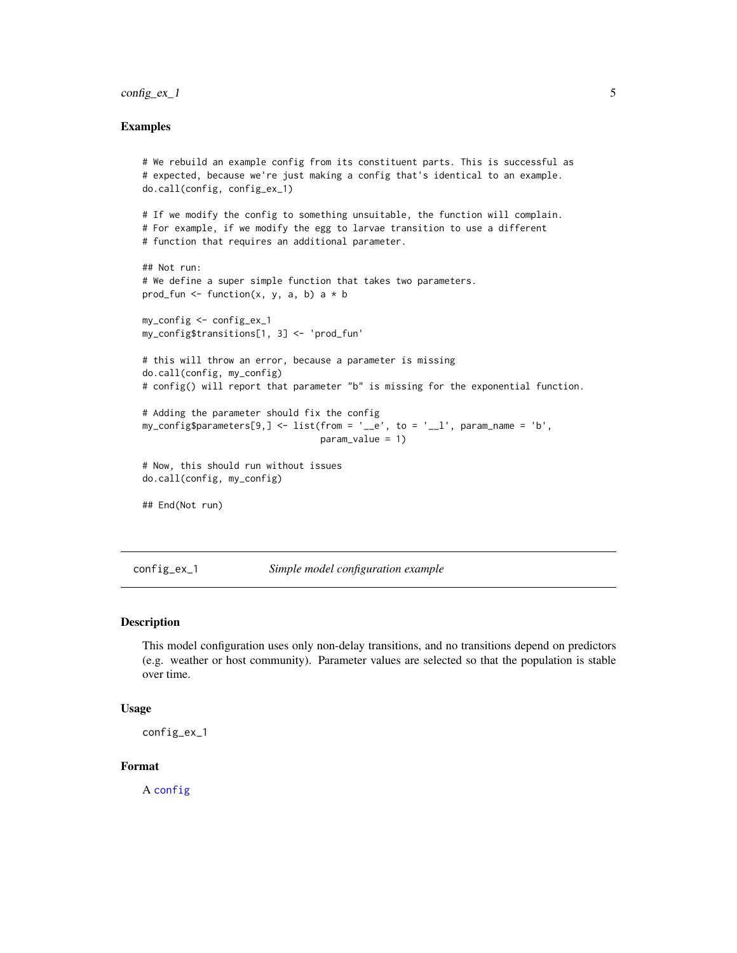#### <span id="page-4-0"></span> $\text{config\_ex\_1}$  5

#### Examples

```
# We rebuild an example config from its constituent parts. This is successful as
# expected, because we're just making a config that's identical to an example.
do.call(config, config_ex_1)
# If we modify the config to something unsuitable, the function will complain.
# For example, if we modify the egg to larvae transition to use a different
# function that requires an additional parameter.
## Not run:
# We define a super simple function that takes two parameters.
prod_fun <- function(x, y, a, b) a * bmy_config <- config_ex_1
my_config$transitions[1, 3] <- 'prod_fun'
# this will throw an error, because a parameter is missing
do.call(config, my_config)
# config() will report that parameter "b" is missing for the exponential function.
# Adding the parameter should fix the config
my\_config\parameters[9,] <- list(from = '__e', to = '__l', param_name = 'b',
                                 param_value = 1)
# Now, this should run without issues
do.call(config, my_config)
## End(Not run)
```
config\_ex\_1 *Simple model configuration example*

#### Description

This model configuration uses only non-delay transitions, and no transitions depend on predictors (e.g. weather or host community). Parameter values are selected so that the population is stable over time.

#### Usage

```
config_ex_1
```
# Format

A [config](#page-1-1)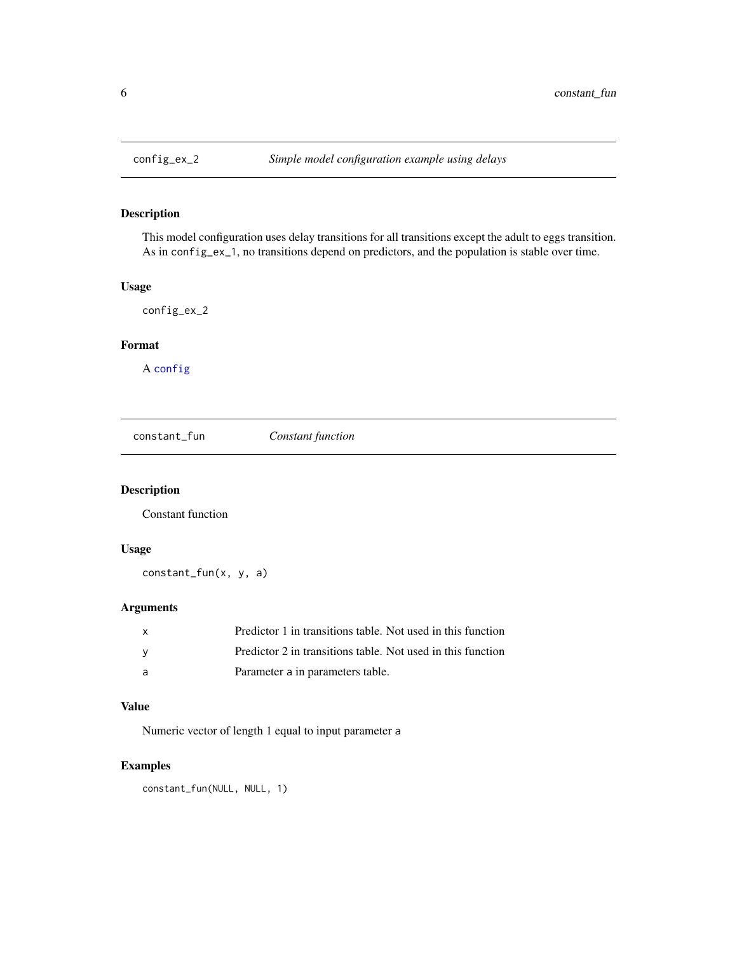<span id="page-5-0"></span>

This model configuration uses delay transitions for all transitions except the adult to eggs transition. As in config\_ex\_1, no transitions depend on predictors, and the population is stable over time.

# Usage

config\_ex\_2

# Format

A [config](#page-1-1)

<span id="page-5-1"></span>constant\_fun *Constant function*

# Description

Constant function

#### Usage

constant\_fun(x, y, a)

# Arguments

| X      | Predictor 1 in transitions table. Not used in this function |
|--------|-------------------------------------------------------------|
| $\vee$ | Predictor 2 in transitions table. Not used in this function |
| - a    | Parameter a in parameters table.                            |

#### Value

Numeric vector of length 1 equal to input parameter a

# Examples

constant\_fun(NULL, NULL, 1)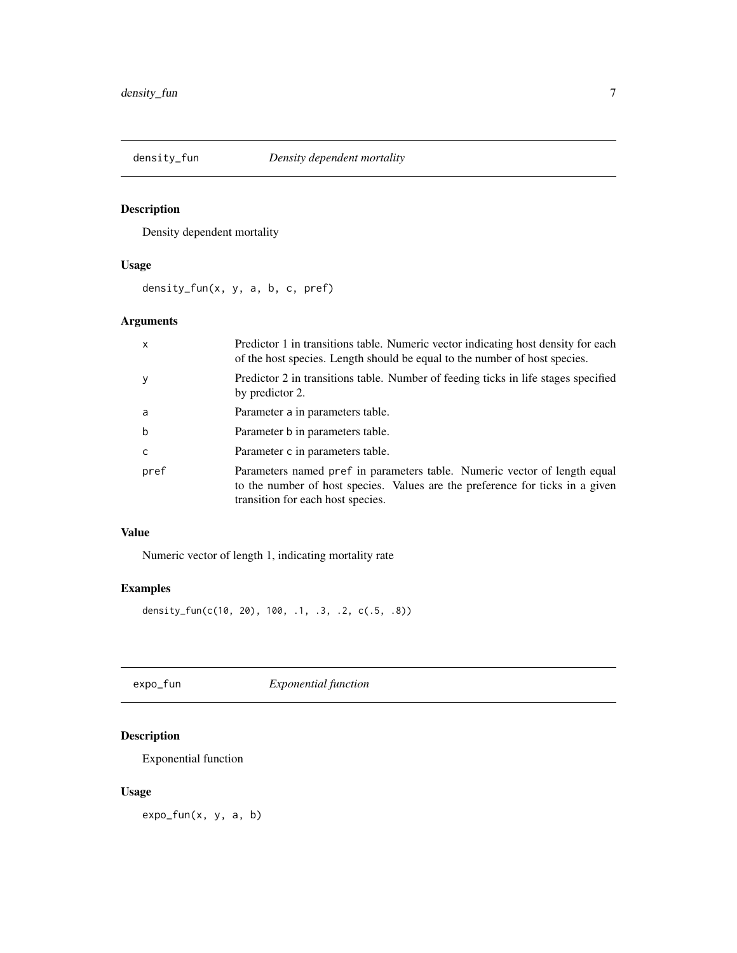<span id="page-6-0"></span>

Density dependent mortality

# Usage

density\_fun(x, y, a, b, c, pref)

# Arguments

| $\mathsf{x}$ | Predictor 1 in transitions table. Numeric vector indicating host density for each<br>of the host species. Length should be equal to the number of host species.                                 |
|--------------|-------------------------------------------------------------------------------------------------------------------------------------------------------------------------------------------------|
| y            | Predictor 2 in transitions table. Number of feeding ticks in life stages specified<br>by predictor 2.                                                                                           |
| a            | Parameter a in parameters table.                                                                                                                                                                |
| b            | Parameter b in parameters table.                                                                                                                                                                |
| $\mathsf{C}$ | Parameter c in parameters table.                                                                                                                                                                |
| pref         | Parameters named pref in parameters table. Numeric vector of length equal<br>to the number of host species. Values are the preference for ticks in a given<br>transition for each host species. |

#### Value

Numeric vector of length 1, indicating mortality rate

# Examples

density\_fun(c(10, 20), 100, .1, .3, .2, c(.5, .8))

<span id="page-6-1"></span>expo\_fun *Exponential function*

# Description

Exponential function

# Usage

expo\_fun(x, y, a, b)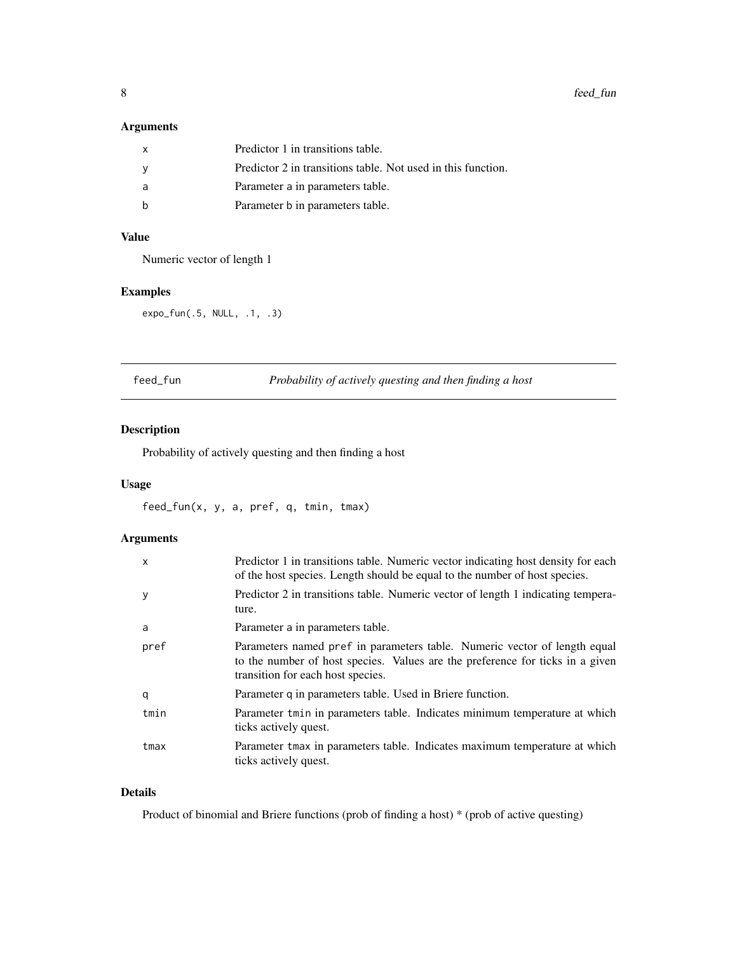# <span id="page-7-0"></span>Arguments

| X   | Predictor 1 in transitions table.                            |
|-----|--------------------------------------------------------------|
| - V | Predictor 2 in transitions table. Not used in this function. |
| a   | Parameter a in parameters table.                             |
|     | Parameter b in parameters table.                             |

# Value

Numeric vector of length 1

# Examples

expo\_fun(.5, NULL, .1, .3)

feed\_fun *Probability of actively questing and then finding a host*

# Description

Probability of actively questing and then finding a host

#### Usage

feed\_fun(x, y, a, pref, q, tmin, tmax)

# Arguments

| $\mathsf{x}$ | Predictor 1 in transitions table. Numeric vector indicating host density for each<br>of the host species. Length should be equal to the number of host species.                                 |
|--------------|-------------------------------------------------------------------------------------------------------------------------------------------------------------------------------------------------|
| y            | Predictor 2 in transitions table. Numeric vector of length 1 indicating tempera-<br>ture.                                                                                                       |
| a            | Parameter a in parameters table.                                                                                                                                                                |
| pref         | Parameters named pref in parameters table. Numeric vector of length equal<br>to the number of host species. Values are the preference for ticks in a given<br>transition for each host species. |
| q            | Parameter q in parameters table. Used in Briere function.                                                                                                                                       |
| tmin         | Parameter tmin in parameters table. Indicates minimum temperature at which<br>ticks actively quest.                                                                                             |
| tmax         | Parameter tmax in parameters table. Indicates maximum temperature at which<br>ticks actively quest.                                                                                             |

#### Details

Product of binomial and Briere functions (prob of finding a host) \* (prob of active questing)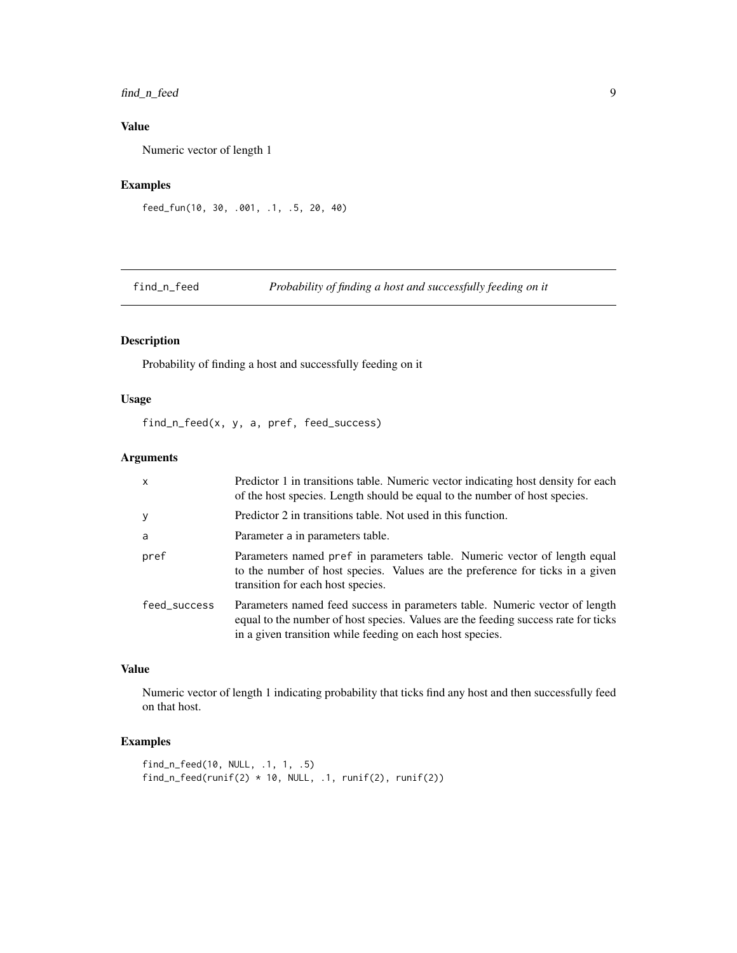# <span id="page-8-0"></span>find\_n\_feed 9

# Value

Numeric vector of length 1

# Examples

```
feed_fun(10, 30, .001, .1, .5, 20, 40)
```
find\_n\_feed *Probability of finding a host and successfully feeding on it*

# Description

Probability of finding a host and successfully feeding on it

# Usage

find\_n\_feed(x, y, a, pref, feed\_success)

# Arguments

| $\mathsf{x}$ | Predictor 1 in transitions table. Numeric vector indicating host density for each<br>of the host species. Length should be equal to the number of host species.                                                                |
|--------------|--------------------------------------------------------------------------------------------------------------------------------------------------------------------------------------------------------------------------------|
| y            | Predictor 2 in transitions table. Not used in this function.                                                                                                                                                                   |
| a            | Parameter a in parameters table.                                                                                                                                                                                               |
| pref         | Parameters named pref in parameters table. Numeric vector of length equal<br>to the number of host species. Values are the preference for ticks in a given<br>transition for each host species.                                |
| feed_success | Parameters named feed success in parameters table. Numeric vector of length<br>equal to the number of host species. Values are the feeding success rate for ticks<br>in a given transition while feeding on each host species. |

# Value

Numeric vector of length 1 indicating probability that ticks find any host and then successfully feed on that host.

# Examples

```
find_n_feed(10, NULL, .1, 1, .5)
find_n_feed(runif(2) * 10, NULL, .1, runif(2), runif(2))
```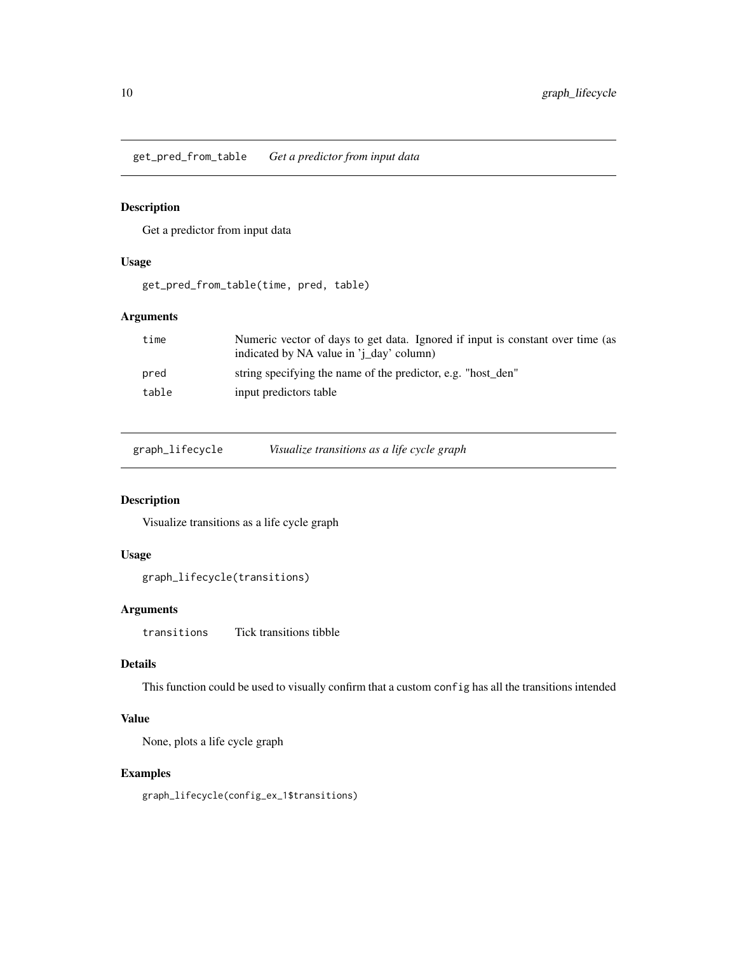<span id="page-9-0"></span>get\_pred\_from\_table *Get a predictor from input data*

# Description

Get a predictor from input data

# Usage

get\_pred\_from\_table(time, pred, table)

#### Arguments

| time  | Numeric vector of days to get data. Ignored if input is constant over time (as |
|-------|--------------------------------------------------------------------------------|
|       | indicated by NA value in 'j_day' column)                                       |
| pred  | string specifying the name of the predictor, e.g. "host den"                   |
| table | input predictors table                                                         |

graph\_lifecycle *Visualize transitions as a life cycle graph*

# Description

Visualize transitions as a life cycle graph

#### Usage

graph\_lifecycle(transitions)

#### Arguments

transitions Tick transitions tibble

# Details

This function could be used to visually confirm that a custom config has all the transitions intended

# Value

None, plots a life cycle graph

# Examples

graph\_lifecycle(config\_ex\_1\$transitions)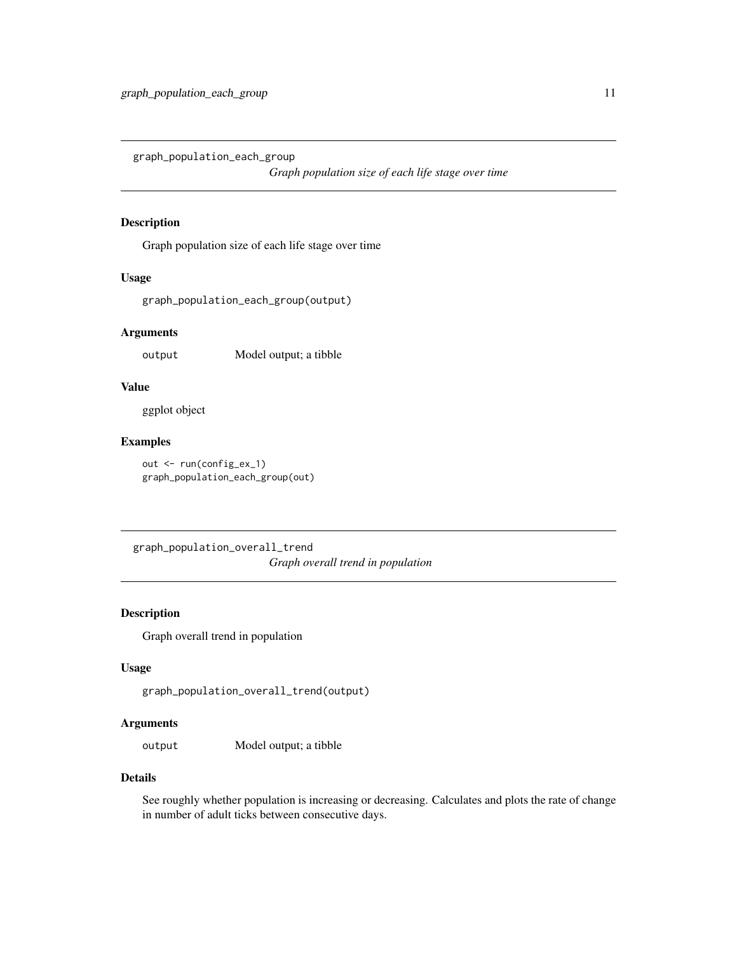<span id="page-10-0"></span>graph\_population\_each\_group

*Graph population size of each life stage over time*

#### Description

Graph population size of each life stage over time

#### Usage

graph\_population\_each\_group(output)

#### Arguments

output Model output; a tibble

# Value

ggplot object

#### Examples

out <- run(config\_ex\_1) graph\_population\_each\_group(out)

graph\_population\_overall\_trend *Graph overall trend in population*

#### Description

Graph overall trend in population

#### Usage

```
graph_population_overall_trend(output)
```
# Arguments

output Model output; a tibble

#### Details

See roughly whether population is increasing or decreasing. Calculates and plots the rate of change in number of adult ticks between consecutive days.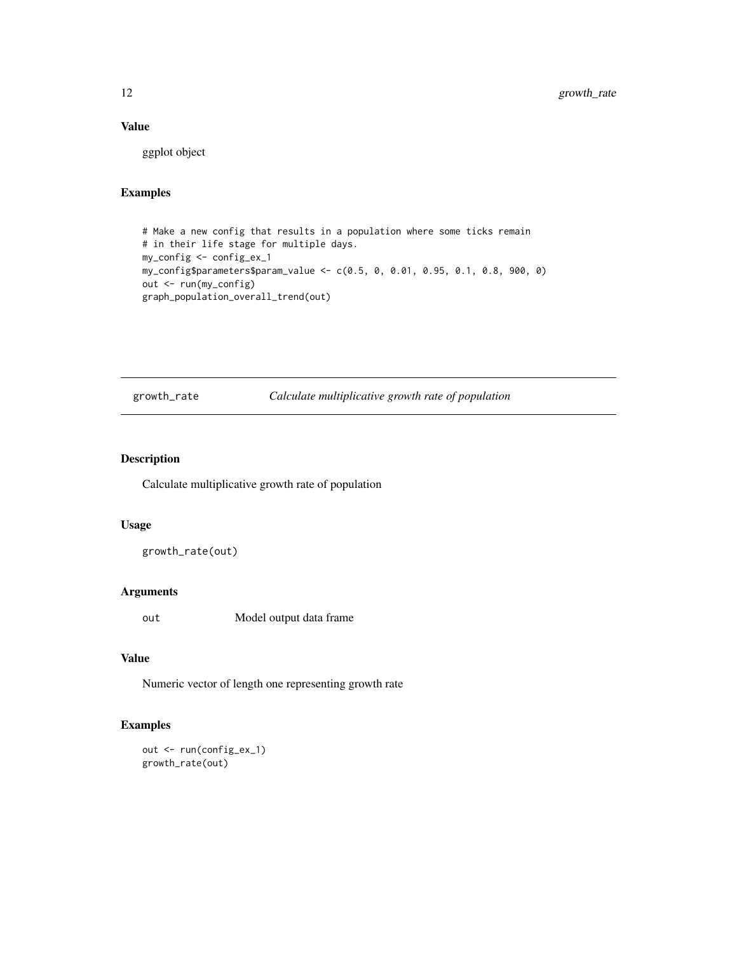# <span id="page-11-0"></span>Value

ggplot object

# Examples

```
# Make a new config that results in a population where some ticks remain
# in their life stage for multiple days.
my_config <- config_ex_1
my_config$parameters$param_value <- c(0.5, 0, 0.01, 0.95, 0.1, 0.8, 900, 0)
out <- run(my_config)
graph_population_overall_trend(out)
```
growth\_rate *Calculate multiplicative growth rate of population*

# Description

Calculate multiplicative growth rate of population

#### Usage

growth\_rate(out)

#### Arguments

out Model output data frame

#### Value

Numeric vector of length one representing growth rate

# Examples

out <- run(config\_ex\_1) growth\_rate(out)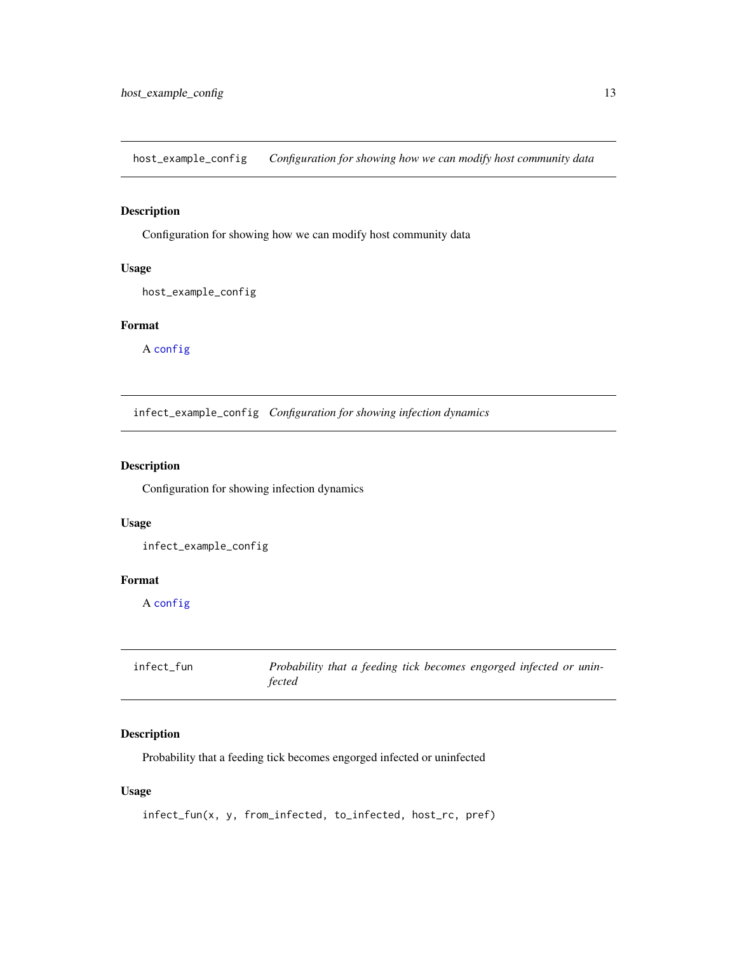<span id="page-12-0"></span>host\_example\_config *Configuration for showing how we can modify host community data*

# Description

Configuration for showing how we can modify host community data

#### Usage

```
host_example_config
```
# Format

A [config](#page-1-1)

infect\_example\_config *Configuration for showing infection dynamics*

# Description

Configuration for showing infection dynamics

#### Usage

infect\_example\_config

#### Format

A [config](#page-1-1)

<span id="page-12-1"></span>

| infect_fun | Probability that a feeding tick becomes engorged infected or unin- |
|------------|--------------------------------------------------------------------|
|            | fected                                                             |

# Description

Probability that a feeding tick becomes engorged infected or uninfected

#### Usage

```
infect_fun(x, y, from_infected, to_infected, host_rc, pref)
```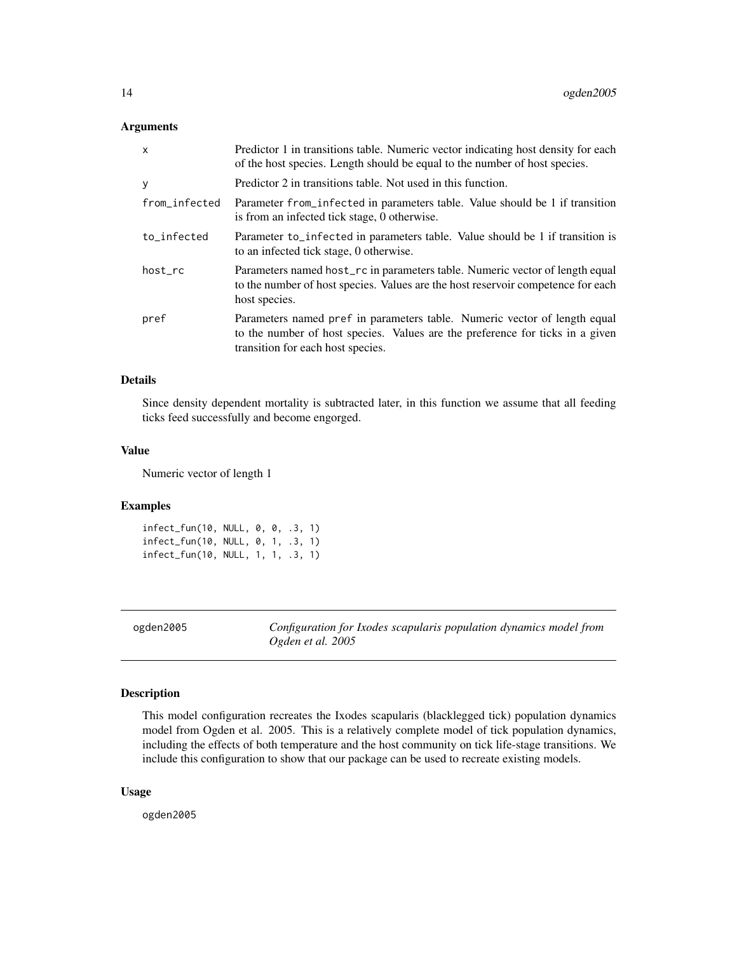#### <span id="page-13-0"></span>Arguments

| $\mathsf{x}$  | Predictor 1 in transitions table. Numeric vector indicating host density for each<br>of the host species. Length should be equal to the number of host species.                                 |
|---------------|-------------------------------------------------------------------------------------------------------------------------------------------------------------------------------------------------|
| y             | Predictor 2 in transitions table. Not used in this function.                                                                                                                                    |
| from_infected | Parameter from infected in parameters table. Value should be 1 if transition<br>is from an infected tick stage, 0 otherwise.                                                                    |
| to_infected   | Parameter to_infected in parameters table. Value should be 1 if transition is<br>to an infected tick stage, 0 otherwise.                                                                        |
| host_rc       | Parameters named host_rc in parameters table. Numeric vector of length equal<br>to the number of host species. Values are the host reservoir competence for each<br>host species.               |
| pref          | Parameters named pref in parameters table. Numeric vector of length equal<br>to the number of host species. Values are the preference for ticks in a given<br>transition for each host species. |

#### Details

Since density dependent mortality is subtracted later, in this function we assume that all feeding ticks feed successfully and become engorged.

#### Value

Numeric vector of length 1

#### Examples

infect\_fun(10, NULL, 0, 0, .3, 1) infect\_fun(10, NULL, 0, 1, .3, 1) infect\_fun(10, NULL, 1, 1, .3, 1)

ogden2005 *Configuration for Ixodes scapularis population dynamics model from Ogden et al. 2005*

# Description

This model configuration recreates the Ixodes scapularis (blacklegged tick) population dynamics model from Ogden et al. 2005. This is a relatively complete model of tick population dynamics, including the effects of both temperature and the host community on tick life-stage transitions. We include this configuration to show that our package can be used to recreate existing models.

#### Usage

ogden2005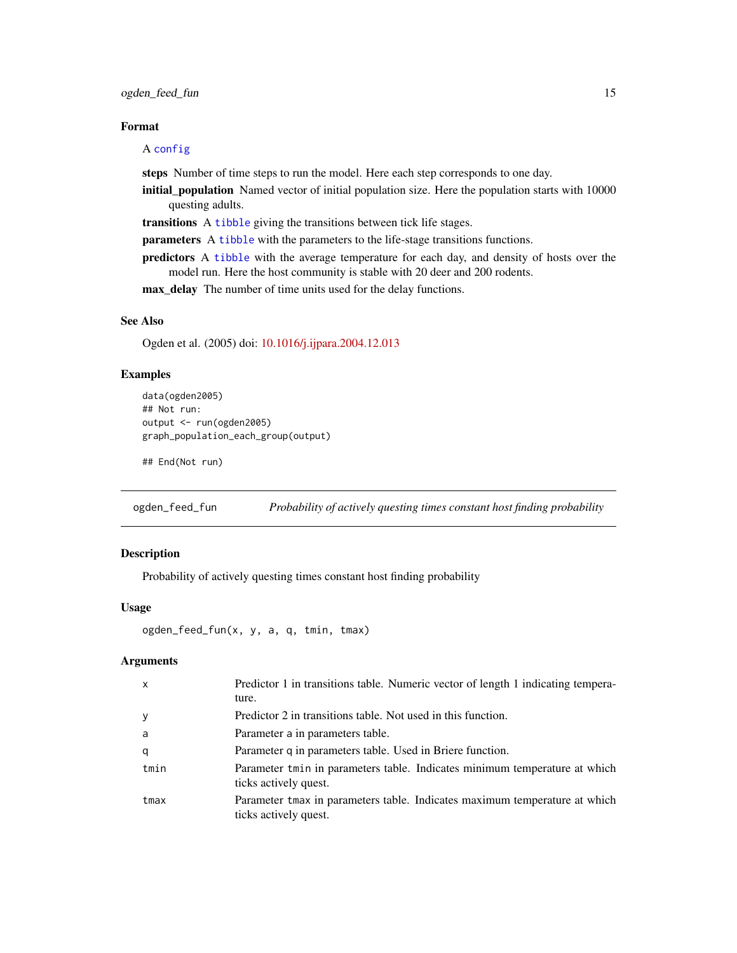# <span id="page-14-0"></span>ogden\_feed\_fun 15

#### Format

#### A [config](#page-1-1)

steps Number of time steps to run the model. Here each step corresponds to one day.

initial\_population Named vector of initial population size. Here the population starts with 10000 questing adults.

transitions A [tibble](#page-0-0) giving the transitions between tick life stages.

parameters A [tibble](#page-0-0) with the parameters to the life-stage transitions functions.

predictors A [tibble](#page-0-0) with the average temperature for each day, and density of hosts over the model run. Here the host community is stable with 20 deer and 200 rodents.

max\_delay The number of time units used for the delay functions.

#### See Also

Ogden et al. (2005) doi: [10.1016/j.ijpara.2004.12.013](https://doi.org/10.1016/j.ijpara.2004.12.013)

#### Examples

```
data(ogden2005)
## Not run:
output <- run(ogden2005)
graph_population_each_group(output)
```
## End(Not run)

ogden\_feed\_fun *Probability of actively questing times constant host finding probability*

#### Description

Probability of actively questing times constant host finding probability

#### Usage

```
ogden_feed_fun(x, y, a, q, tmin, tmax)
```
# Arguments

| $\mathsf{x}$ | Predictor 1 in transitions table. Numeric vector of length 1 indicating tempera-<br>ture.           |
|--------------|-----------------------------------------------------------------------------------------------------|
| У            | Predictor 2 in transitions table. Not used in this function.                                        |
| a            | Parameter a in parameters table.                                                                    |
| q            | Parameter q in parameters table. Used in Briere function.                                           |
| tmin         | Parameter tmin in parameters table. Indicates minimum temperature at which<br>ticks actively quest. |
| tmax         | Parameter tmax in parameters table. Indicates maximum temperature at which<br>ticks actively quest. |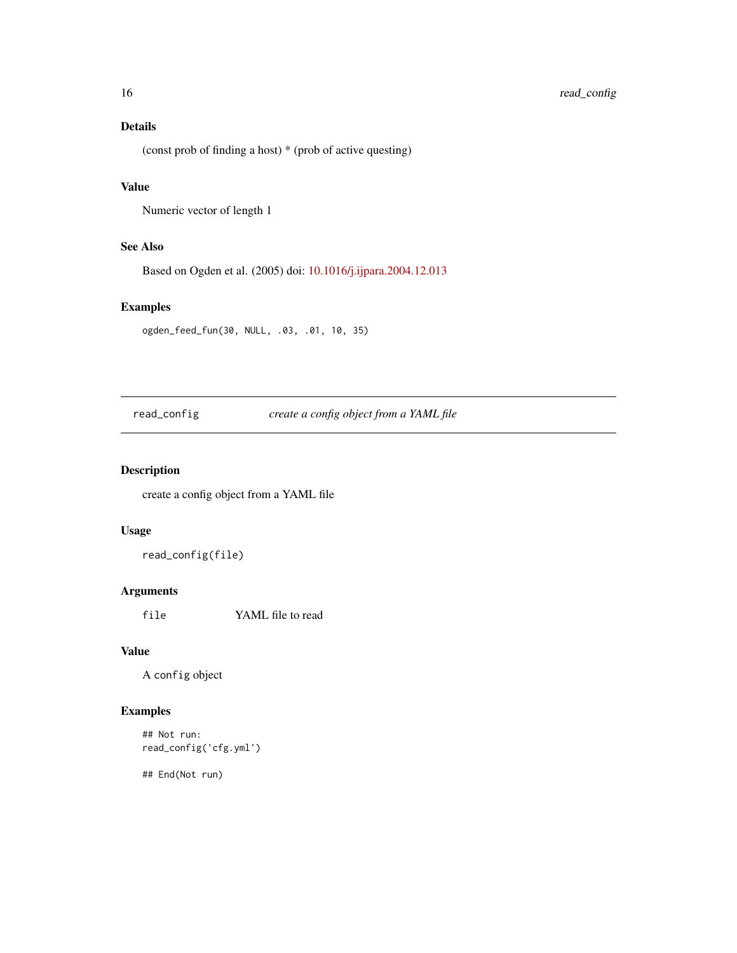# <span id="page-15-0"></span>16 read\_config

# Details

(const prob of finding a host) \* (prob of active questing)

# Value

```
Numeric vector of length 1
```
# See Also

Based on Ogden et al. (2005) doi: [10.1016/j.ijpara.2004.12.013](https://doi.org/10.1016/j.ijpara.2004.12.013)

# Examples

```
ogden_feed_fun(30, NULL, .03, .01, 10, 35)
```
read\_config *create a config object from a YAML file*

# Description

create a config object from a YAML file

# Usage

read\_config(file)

#### Arguments

file YAML file to read

#### Value

A config object

# Examples

```
## Not run:
read_config('cfg.yml')
```
## End(Not run)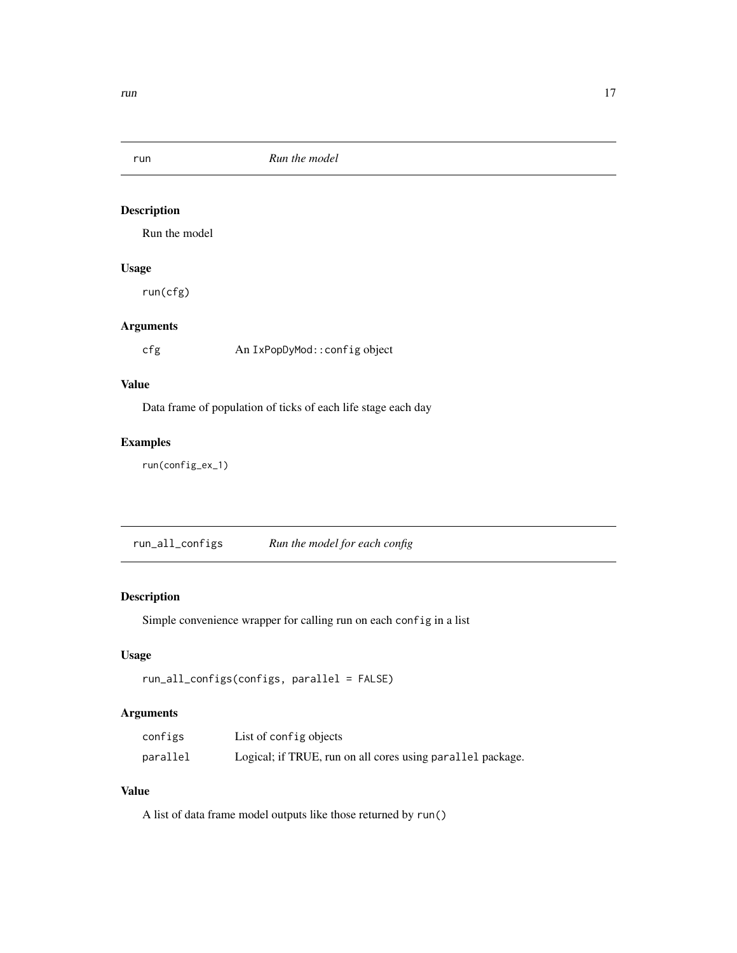<span id="page-16-0"></span>

Run the model

# Usage

run(cfg)

# Arguments

cfg An IxPopDyMod::config object

# Value

Data frame of population of ticks of each life stage each day

# Examples

run(config\_ex\_1)

run\_all\_configs *Run the model for each config*

# Description

Simple convenience wrapper for calling run on each config in a list

# Usage

```
run_all_configs(configs, parallel = FALSE)
```
# Arguments

| configs  | List of config objects                                     |
|----------|------------------------------------------------------------|
| parallel | Logical; if TRUE, run on all cores using parallel package. |

#### Value

A list of data frame model outputs like those returned by run()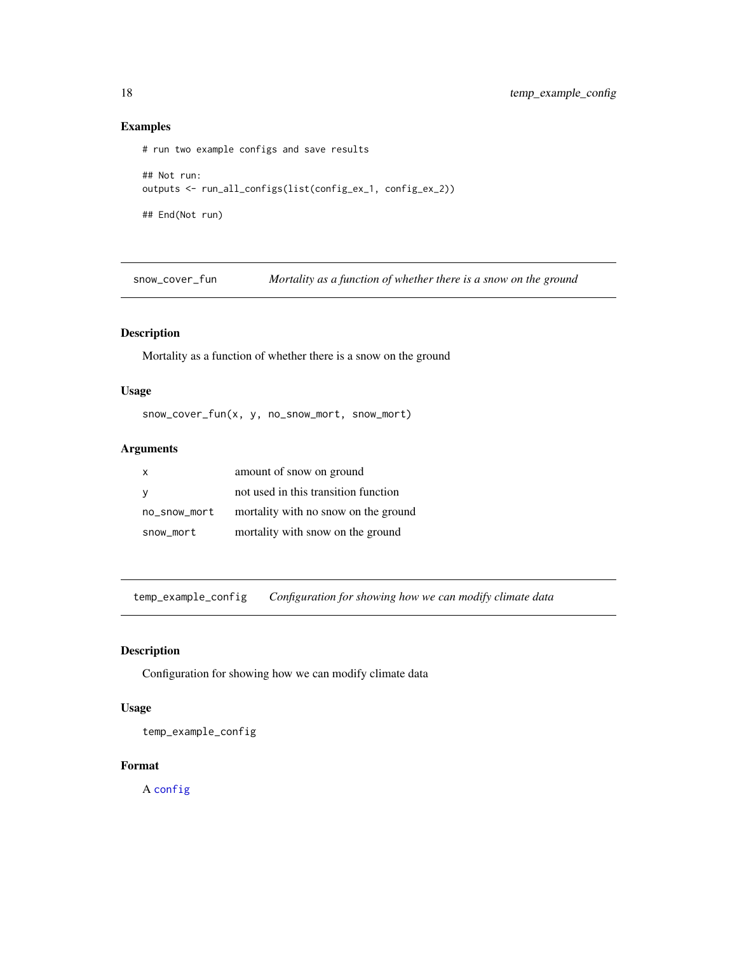# Examples

```
# run two example configs and save results
## Not run:
outputs <- run_all_configs(list(config_ex_1, config_ex_2))
## End(Not run)
```
snow\_cover\_fun *Mortality as a function of whether there is a snow on the ground*

#### Description

Mortality as a function of whether there is a snow on the ground

#### Usage

snow\_cover\_fun(x, y, no\_snow\_mort, snow\_mort)

# Arguments

| x            | amount of snow on ground             |
|--------------|--------------------------------------|
| <b>V</b>     | not used in this transition function |
| no_snow_mort | mortality with no snow on the ground |
| snow_mort    | mortality with snow on the ground    |

temp\_example\_config *Configuration for showing how we can modify climate data*

#### Description

Configuration for showing how we can modify climate data

# Usage

temp\_example\_config

#### Format

A [config](#page-1-1)

<span id="page-17-0"></span>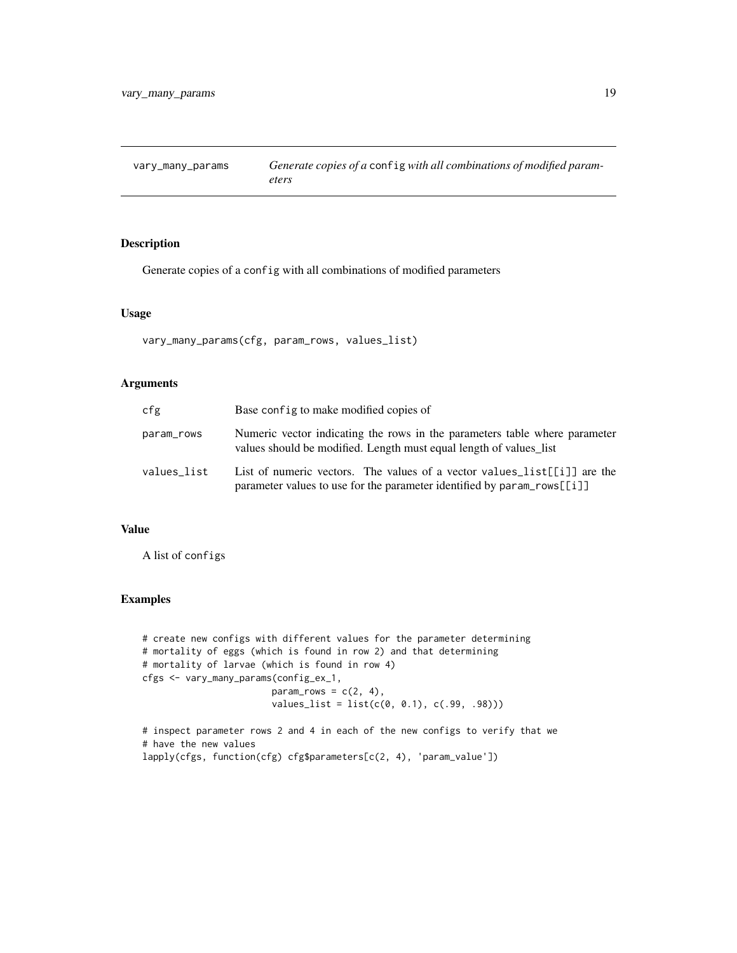<span id="page-18-0"></span>vary\_many\_params *Generate copies of a* config *with all combinations of modified parameters*

#### Description

Generate copies of a config with all combinations of modified parameters

# Usage

vary\_many\_params(cfg, param\_rows, values\_list)

#### Arguments

| cfg         | Base config to make modified copies of                                                                                                                                     |
|-------------|----------------------------------------------------------------------------------------------------------------------------------------------------------------------------|
| param_rows  | Numeric vector indicating the rows in the parameters table where parameter<br>values should be modified. Length must equal length of values list                           |
| values_list | List of numeric vectors. The values of a vector values list [[i]] are the<br>parameter values to use for the parameter identified by $\text{param\_rows}[\lceil i \rceil]$ |

# Value

A list of configs

#### Examples

```
# create new configs with different values for the parameter determining
# mortality of eggs (which is found in row 2) and that determining
# mortality of larvae (which is found in row 4)
cfgs <- vary_many_params(config_ex_1,
                       param_rows = c(2, 4),values_list = list(c(0, 0.1), c(.99, .98)))
```
# inspect parameter rows 2 and 4 in each of the new configs to verify that we # have the new values lapply(cfgs, function(cfg) cfg\$parameters[c(2, 4), 'param\_value'])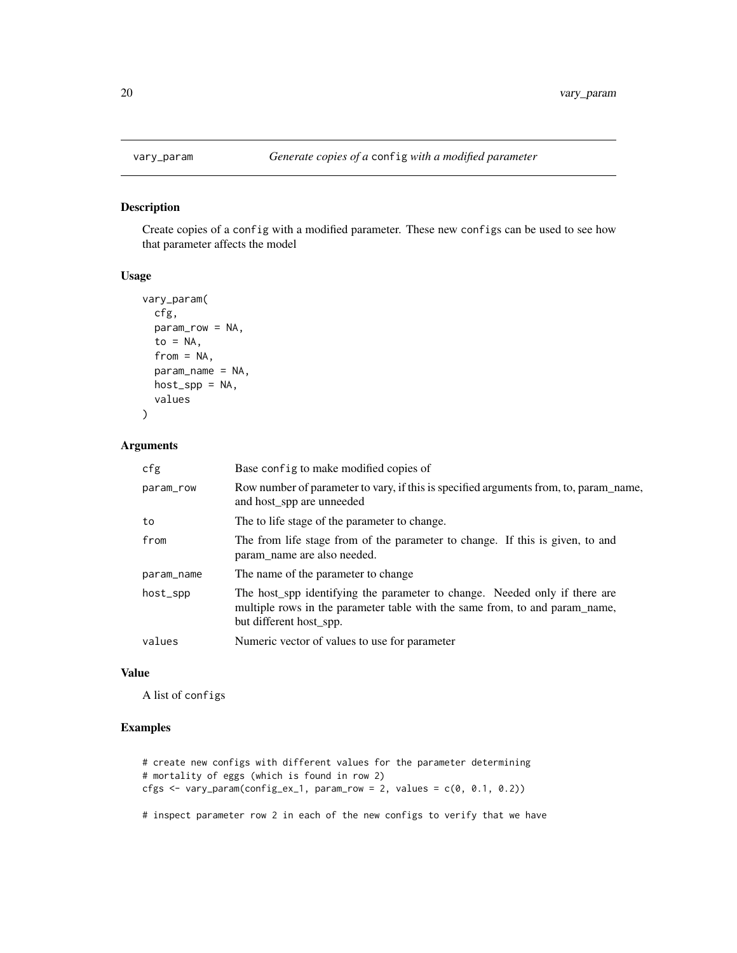Create copies of a config with a modified parameter. These new configs can be used to see how that parameter affects the model

#### Usage

```
vary_param(
  cfg,
 param_row = NA,
  to = NA,from = NA,
  param_name = NA,
 host_spp = NA,
  values
)
```
#### Arguments

| cfg        | Base config to make modified copies of                                                                                                                                               |
|------------|--------------------------------------------------------------------------------------------------------------------------------------------------------------------------------------|
| param_row  | Row number of parameter to vary, if this is specified arguments from, to, param_name,<br>and host_spp are unneeded                                                                   |
| to         | The to life stage of the parameter to change.                                                                                                                                        |
| from       | The from life stage from of the parameter to change. If this is given, to and<br>param_name are also needed.                                                                         |
| param_name | The name of the parameter to change                                                                                                                                                  |
| host_spp   | The host_spp identifying the parameter to change. Needed only if there are<br>multiple rows in the parameter table with the same from, to and param_name,<br>but different host_spp. |
| values     | Numeric vector of values to use for parameter                                                                                                                                        |

#### Value

A list of configs

# Examples

```
# create new configs with different values for the parameter determining
# mortality of eggs (which is found in row 2)
cfgs \le vary_param(config_ex_1, param_row = 2, values = c(0, 0.1, 0.2))
```
# inspect parameter row 2 in each of the new configs to verify that we have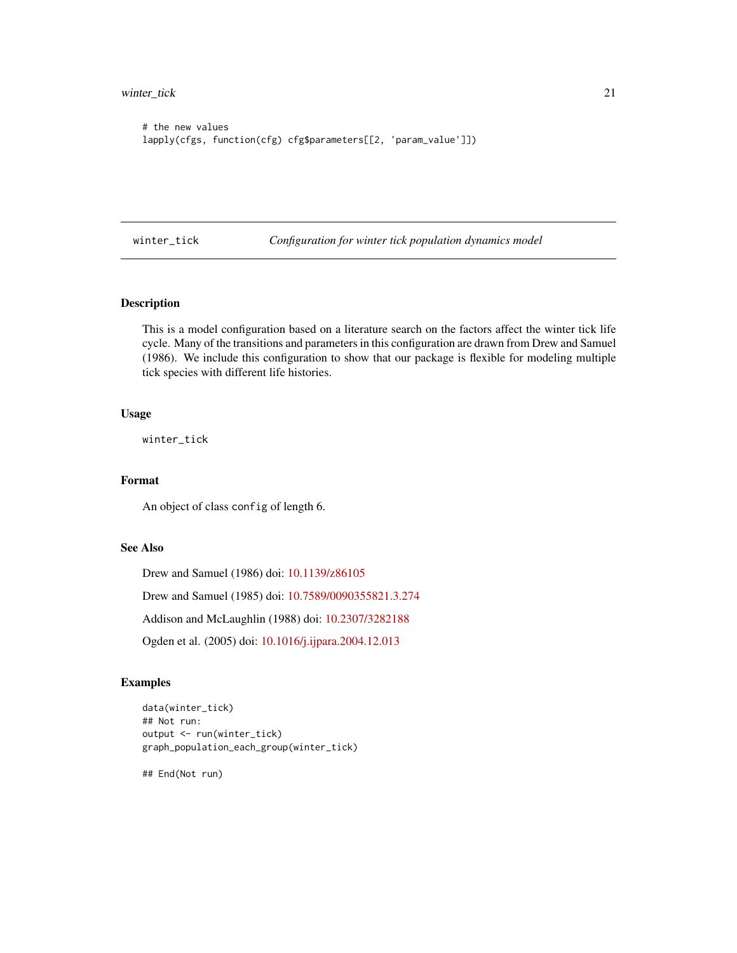<span id="page-20-0"></span>winter\_tick 21

```
# the new values
lapply(cfgs, function(cfg) cfg$parameters[[2, 'param_value']])
```
winter\_tick *Configuration for winter tick population dynamics model*

# Description

This is a model configuration based on a literature search on the factors affect the winter tick life cycle. Many of the transitions and parameters in this configuration are drawn from Drew and Samuel (1986). We include this configuration to show that our package is flexible for modeling multiple tick species with different life histories.

#### Usage

winter\_tick

# Format

An object of class config of length 6.

#### See Also

Drew and Samuel (1986) doi: [10.1139/z86105](https://doi.org/10.1139/z86-105) Drew and Samuel (1985) doi: [10.7589/0090355821.3.274](https://doi.org/10.7589/0090-3558-21.3.274) Addison and McLaughlin (1988) doi: [10.2307/3282188](https://doi.org/10.2307/3282188) Ogden et al. (2005) doi: [10.1016/j.ijpara.2004.12.013](https://doi.org/10.1016/j.ijpara.2004.12.013)

#### Examples

```
data(winter_tick)
## Not run:
output <- run(winter_tick)
graph_population_each_group(winter_tick)
```
## End(Not run)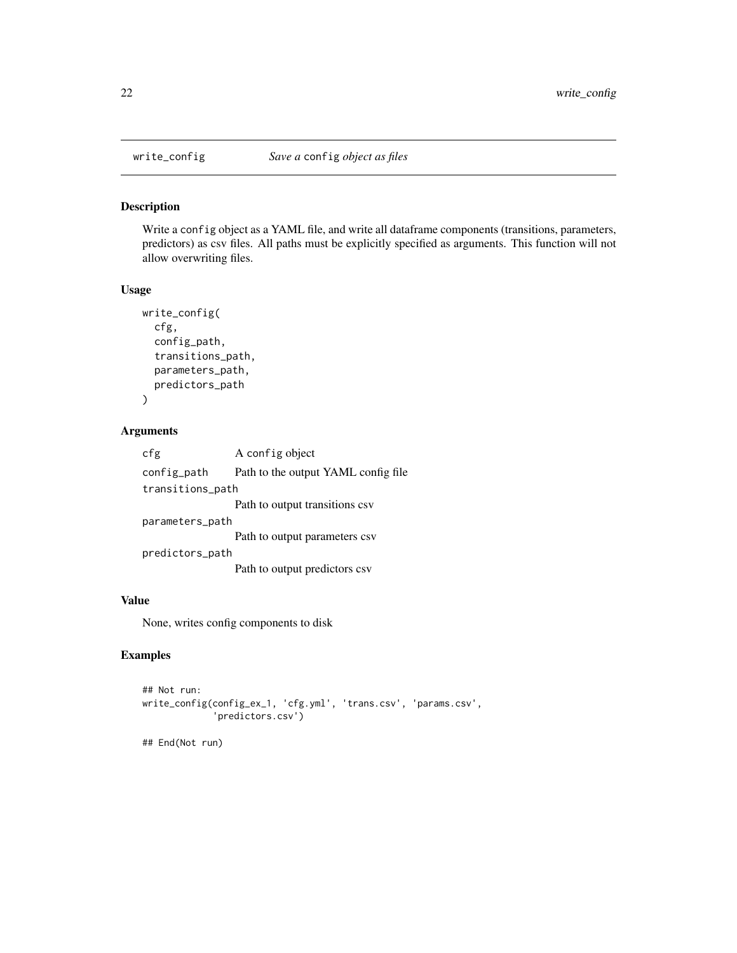Write a config object as a YAML file, and write all dataframe components (transitions, parameters, predictors) as csv files. All paths must be explicitly specified as arguments. This function will not allow overwriting files.

#### Usage

```
write_config(
  cfg,
  config_path,
  transitions_path,
  parameters_path,
  predictors_path
\mathcal{L}
```
#### Arguments

cfg A config object config\_path Path to the output YAML config file transitions\_path Path to output transitions csv parameters\_path Path to output parameters csv predictors\_path Path to output predictors csv

#### Value

None, writes config components to disk

# Examples

```
## Not run:
write_config(config_ex_1, 'cfg.yml', 'trans.csv', 'params.csv',
             'predictors.csv')
## End(Not run)
```